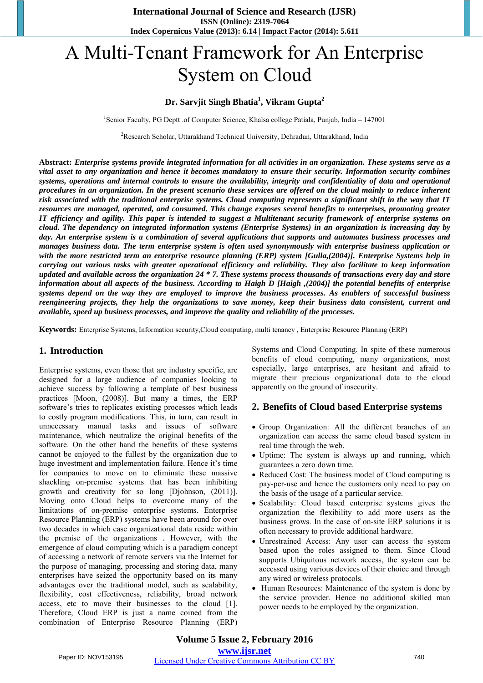# A Multi-Tenant Framework for An Enterprise System on Cloud

#### **Dr. Sarvjit Singh Bhatia<sup>1</sup> , Vikram Gupta<sup>2</sup>**

<sup>1</sup>Senior Faculty, PG Deptt .of Computer Science, Khalsa college Patiala, Punjab, India - 147001

<sup>2</sup>Research Scholar, Uttarakhand Technical University, Dehradun, Uttarakhand, India

**Abstract:** *Enterprise systems provide integrated information for all activities in an organization. These systems serve as a vital asset to any organization and hence it becomes mandatory to ensure their security. Information security combines systems, operations and internal controls to ensure the availability, integrity and confidentiality of data and operational procedures in an organization. In the present scenario these services are offered on the cloud mainly to reduce inherent risk associated with the traditional enterprise systems. Cloud computing represents a significant shift in the way that IT resources are managed, operated, and consumed. This change exposes several benefits to enterprises, promoting greater IT efficiency and agility. This paper is intended to suggest a Multitenant security framework of enterprise systems on cloud. The dependency on integrated information systems (Enterprise Systems) in an organization is increasing day by day. An enterprise system is a combination of several applications that supports and automates business processes and manages business data. The term enterprise system is often used synonymously with enterprise business application or with the more restricted term an enterprise resource planning (ERP) system [Gulla,(2004)]. Enterprise Systems help in carrying out various tasks with greater operational efficiency and reliability. They also facilitate to keep information updated and available across the organization 24 \* 7. These systems process thousands of transactions every day and store information about all aspects of the business. According to Haigh D [Haigh ,(2004)] the potential benefits of enterprise systems depend on the way they are employed to improve the business processes. As enablers of successful business reengineering projects, they help the organizations to save money, keep their business data consistent, current and available, speed up business processes, and improve the quality and reliability of the processes.*

**Keywords:** Enterprise Systems, Information security,Cloud computing, multi tenancy , Enterprise Resource Planning (ERP)

#### **1. Introduction**

Enterprise systems, even those that are industry specific, are designed for a large audience of companies looking to achieve success by following a template of best business practices [Moon, (2008)]. But many a times, the ERP software's tries to replicates existing processes which leads to costly program modifications. This, in turn, can result in unnecessary manual tasks and issues of software maintenance, which neutralize the original benefits of the software. On the other hand the benefits of these systems cannot be enjoyed to the fullest by the organization due to huge investment and implementation failure. Hence it's time for companies to move on to eliminate these massive shackling on-premise systems that has been inhibiting growth and creativity for so long [Djohnson, (2011)]. Moving onto Cloud helps to overcome many of the limitations of on-premise enterprise systems. Enterprise Resource Planning (ERP) systems have been around for over two decades in which case organizational data reside within the premise of the organizations . However, with the emergence of cloud computing which is a paradigm concept of accessing a network of remote servers via the Internet for the purpose of managing, processing and storing data, many enterprises have seized the opportunity based on its many advantages over the traditional model, such as scalability, flexibility, cost effectiveness, reliability, broad network access, etc to move their businesses to the cloud [1]. Therefore, Cloud ERP is just a name coined from the combination of Enterprise Resource Planning (ERP) Systems and Cloud Computing. In spite of these numerous benefits of cloud computing, many organizations, most especially, large enterprises, are hesitant and afraid to migrate their precious organizational data to the cloud apparently on the ground of insecurity.

#### **2. Benefits of Cloud based Enterprise systems**

- Group Organization: All the different branches of an organization can access the same cloud based system in real time through the web.
- Uptime: The system is always up and running, which guarantees a zero down time.
- Reduced Cost: The business model of Cloud computing is pay-per-use and hence the customers only need to pay on the basis of the usage of a particular service.
- Scalability: Cloud based enterprise systems gives the organization the flexibility to add more users as the business grows. In the case of on-site ERP solutions it is often necessary to provide additional hardware.
- Unrestrained Access: Any user can access the system based upon the roles assigned to them. Since Cloud supports Ubiquitous network access, the system can be accessed using various devices of their choice and through any wired or wireless protocols.
- Human Resources: Maintenance of the system is done by the service provider. Hence no additional skilled man power needs to be employed by the organization.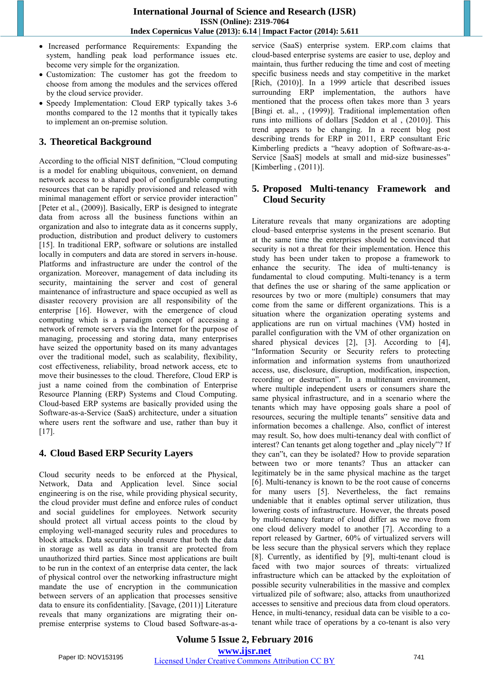- Increased performance Requirements: Expanding the system, handling peak load performance issues etc. become very simple for the organization.
- Customization: The customer has got the freedom to choose from among the modules and the services offered by the cloud service provider.
- Speedy Implementation: Cloud ERP typically takes 3-6 months compared to the 12 months that it typically takes to implement an on-premise solution.

## **3. Theoretical Background**

According to the official NIST definition, "Cloud computing is a model for enabling ubiquitous, convenient, on demand network access to a shared pool of configurable computing resources that can be rapidly provisioned and released with minimal management effort or service provider interaction" [Peter et al., (2009)]. Basically, ERP is designed to integrate data from across all the business functions within an organization and also to integrate data as it concerns supply, production, distribution and product delivery to customers [15]. In traditional ERP, software or solutions are installed locally in computers and data are stored in servers in-house. Platforms and infrastructure are under the control of the organization. Moreover, management of data including its security, maintaining the server and cost of general maintenance of infrastructure and space occupied as well as disaster recovery provision are all responsibility of the enterprise [16]. However, with the emergence of cloud computing which is a paradigm concept of accessing a network of remote servers via the Internet for the purpose of managing, processing and storing data, many enterprises have seized the opportunity based on its many advantages over the traditional model, such as scalability, flexibility, cost effectiveness, reliability, broad network access, etc to move their businesses to the cloud. Therefore, Cloud ERP is just a name coined from the combination of Enterprise Resource Planning (ERP) Systems and Cloud Computing. Cloud-based ERP systems are basically provided using the Software-as-a-Service (SaaS) architecture, under a situation where users rent the software and use, rather than buy it  $[17]$ .

#### **4. Cloud Based ERP Security Layers**

Cloud security needs to be enforced at the Physical, Network, Data and Application level. Since social engineering is on the rise, while providing physical security, the cloud provider must define and enforce rules of conduct and social guidelines for employees. Network security should protect all virtual access points to the cloud by employing well-managed security rules and procedures to block attacks. Data security should ensure that both the data in storage as well as data in transit are protected from unauthorized third parties. Since most applications are built to be run in the context of an enterprise data center, the lack of physical control over the networking infrastructure might mandate the use of encryption in the communication between servers of an application that processes sensitive data to ensure its confidentiality. [Savage, (2011)] Literature reveals that many organizations are migrating their onpremise enterprise systems to Cloud based Software-as-aservice (SaaS) enterprise system. ERP.com claims that cloud-based enterprise systems are easier to use, deploy and maintain, thus further reducing the time and cost of meeting specific business needs and stay competitive in the market [Rich, (2010)]. In a 1999 article that described issues surrounding ERP implementation, the authors have mentioned that the process often takes more than 3 years [Bingi et. al., , (1999)]. Traditional implementation often runs into millions of dollars [Seddon et al , (2010)]. This trend appears to be changing. In a recent blog post describing trends for ERP in 2011, ERP consultant Eric Kimberling predicts a "heavy adoption of Software-as-a-Service [SaaS] models at small and mid-size businesses" [Kimberling , (2011)].

### **5. Proposed Multi-tenancy Framework and Cloud Security**

Literature reveals that many organizations are adopting cloud–based enterprise systems in the present scenario. But at the same time the enterprises should be convinced that security is not a threat for their implementation. Hence this study has been under taken to propose a framework to enhance the security. The idea of multi-tenancy is fundamental to cloud computing. Multi-tenancy is a term that defines the use or sharing of the same application or resources by two or more (multiple) consumers that may come from the same or different organizations. This is a situation where the organization operating systems and applications are run on virtual machines (VM) hosted in parallel configuration with the VM of other organization on shared physical devices [2], [3]. According to [4], "Information Security or Security refers to protecting information and information systems from unauthorized access, use, disclosure, disruption, modification, inspection, recording or destruction". In a multitenant environment, where multiple independent users or consumers share the same physical infrastructure, and in a scenario where the tenants which may have opposing goals share a pool of resources, securing the multiple tenants" sensitive data and information becomes a challenge. Also, conflict of interest may result. So, how does multi-tenancy deal with conflict of interest? Can tenants get along together and "play nicely"? If they can"t, can they be isolated? How to provide separation between two or more tenants? Thus an attacker can legitimately be in the same physical machine as the target [6]. Multi-tenancy is known to be the root cause of concerns for many users [5]. Nevertheless, the fact remains undeniable that it enables optimal server utilization, thus lowering costs of infrastructure. However, the threats posed by multi-tenancy feature of cloud differ as we move from one cloud delivery model to another [7]. According to a report released by Gartner, 60% of virtualized servers will be less secure than the physical servers which they replace [8]. Currently, as identified by [9], multi-tenant cloud is faced with two major sources of threats: virtualized infrastructure which can be attacked by the exploitation of possible security vulnerabilities in the massive and complex virtualized pile of software; also, attacks from unauthorized accesses to sensitive and precious data from cloud operators. Hence, in multi-tenancy, residual data can be visible to a cotenant while trace of operations by a co-tenant is also very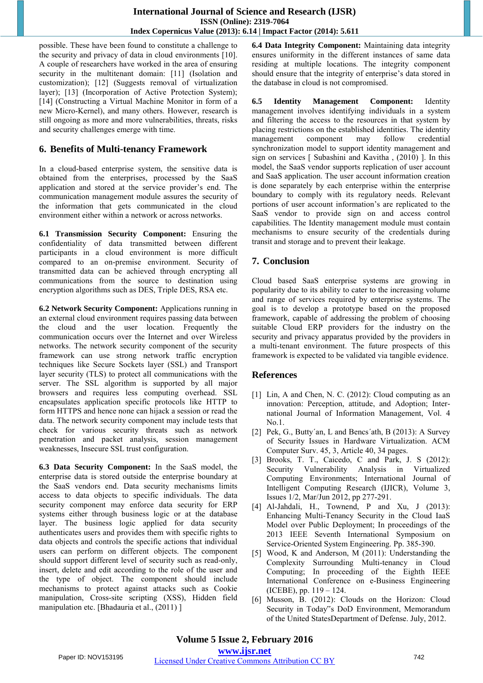possible. These have been found to constitute a challenge to the security and privacy of data in cloud environments [10]. A couple of researchers have worked in the area of ensuring security in the multitenant domain: [11] (Isolation and customization); [12] (Suggests removal of virtualization layer); [13] (Incorporation of Active Protection System); [14] (Constructing a Virtual Machine Monitor in form of a new Micro-Kernel), and many others. However, research is still ongoing as more and more vulnerabilities, threats, risks and security challenges emerge with time.

## **6. Benefits of Multi-tenancy Framework**

In a cloud-based enterprise system, the sensitive data is obtained from the enterprises, processed by the SaaS application and stored at the service provider's end. The communication management module assures the security of the information that gets communicated in the cloud environment either within a network or across networks.

**6.1 Transmission Security Component:** Ensuring the confidentiality of data transmitted between different participants in a cloud environment is more difficult compared to an on-premise environment. Security of transmitted data can be achieved through encrypting all communications from the source to destination using encryption algorithms such as DES, Triple DES, RSA etc.

**6.2 Network Security Component:** Applications running in an external cloud environment requires passing data between the cloud and the user location. Frequently the communication occurs over the Internet and over Wireless networks. The network security component of the security framework can use strong network traffic encryption techniques like Secure Sockets layer (SSL) and Transport layer security (TLS) to protect all communications with the server. The SSL algorithm is supported by all major browsers and requires less computing overhead. SSL encapsulates application specific protocols like HTTP to form HTTPS and hence none can hijack a session or read the data. The network security component may include tests that check for various security threats such as network penetration and packet analysis, session management weaknesses, Insecure SSL trust configuration.

**6.3 Data Security Component:** In the SaaS model, the enterprise data is stored outside the enterprise boundary at the SaaS vendors end. Data security mechanisms limits access to data objects to specific individuals. The data security component may enforce data security for ERP systems either through business logic or at the database layer. The business logic applied for data security authenticates users and provides them with specific rights to data objects and controls the specific actions that individual users can perform on different objects. The component should support different level of security such as read-only, insert, delete and edit according to the role of the user and the type of object. The component should include mechanisms to protect against attacks such as Cookie manipulation, Cross-site scripting (XSS), Hidden field manipulation etc. [Bhadauria et al., (2011) ]

**6.4 Data Integrity Component:** Maintaining data integrity ensures uniformity in the different instances of same data residing at multiple locations. The integrity component should ensure that the integrity of enterprise's data stored in the database in cloud is not compromised.

**6.5 Identity Management Component:** Identity management involves identifying individuals in a system and filtering the access to the resources in that system by placing restrictions on the established identities. The identity management component may follow credential synchronization model to support identity management and sign on services [ Subashini and Kavitha , (2010) ]. In this model, the SaaS vendor supports replication of user account and SaaS application. The user account information creation is done separately by each enterprise within the enterprise boundary to comply with its regulatory needs. Relevant portions of user account information's are replicated to the SaaS vendor to provide sign on and access control capabilities. The Identity management module must contain mechanisms to ensure security of the credentials during transit and storage and to prevent their leakage.

# **7. Conclusion**

Cloud based SaaS enterprise systems are growing in popularity due to its ability to cater to the increasing volume and range of services required by enterprise systems. The goal is to develop a prototype based on the proposed framework, capable of addressing the problem of choosing suitable Cloud ERP providers for the industry on the security and privacy apparatus provided by the providers in a multi-tenant environment. The future prospects of this framework is expected to be validated via tangible evidence.

#### **References**

- [1] Lin, A and Chen, N. C. (2012): Cloud computing as an innovation: Perception, attitude, and Adoption; International Journal of Information Management, Vol. 4 No.1.
- [2] Pek, G., Butty'an, L and Bencs'ath, B (2013): A Survey of Security Issues in Hardware Virtualization. ACM Computer Surv. 45, 3, Article 40, 34 pages.
- [3] Brooks, T. T., Caicedo, C and Park, J. S (2012): Security Vulnerability Analysis in Virtualized Computing Environments; International Journal of Intelligent Computing Research (IJICR), Volume 3, Issues 1/2, Mar/Jun 2012, pp 277-291.
- [4] Al-Jahdali, H., Townend, P and Xu, J (2013): Enhancing Multi-Tenancy Security in the Cloud IaaS Model over Public Deployment; In proceedings of the 2013 IEEE Seventh International Symposium on Service-Oriented System Engineering. Pp. 385-390.
- [5] Wood, K and Anderson, M (2011): Understanding the Complexity Surrounding Multi-tenancy in Cloud Computing; In proceeding of the Eighth IEEE International Conference on e-Business Engineering (ICEBE), pp. 119 – 124.
- [6] Musson, B. (2012): Clouds on the Horizon: Cloud Security in Today"s DoD Environment, Memorandum of the United StatesDepartment of Defense. July, 2012.